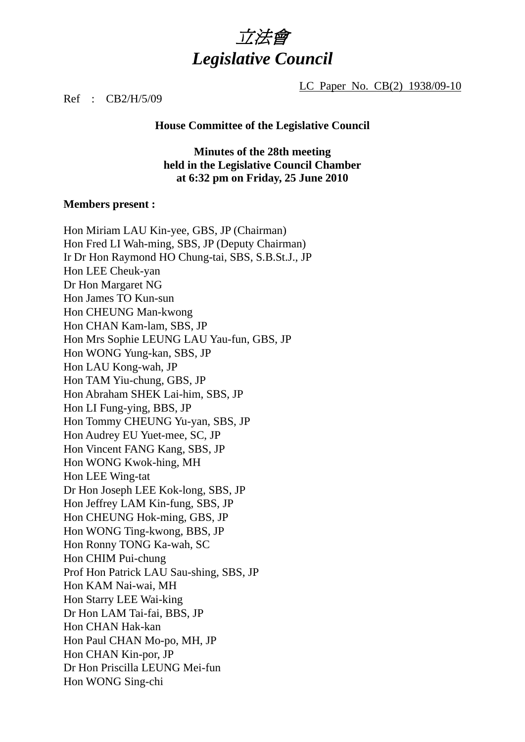

LC Paper No. CB(2) 1938/09-10

### Ref : CB2/H/5/09

#### **House Committee of the Legislative Council**

**Minutes of the 28th meeting held in the Legislative Council Chamber at 6:32 pm on Friday, 25 June 2010** 

#### **Members present :**

Hon Miriam LAU Kin-yee, GBS, JP (Chairman) Hon Fred LI Wah-ming, SBS, JP (Deputy Chairman) Ir Dr Hon Raymond HO Chung-tai, SBS, S.B.St.J., JP Hon LEE Cheuk-yan Dr Hon Margaret NG Hon James TO Kun-sun Hon CHEUNG Man-kwong Hon CHAN Kam-lam, SBS, JP Hon Mrs Sophie LEUNG LAU Yau-fun, GBS, JP Hon WONG Yung-kan, SBS, JP Hon LAU Kong-wah, JP Hon TAM Yiu-chung, GBS, JP Hon Abraham SHEK Lai-him, SBS, JP Hon LI Fung-ying, BBS, JP Hon Tommy CHEUNG Yu-yan, SBS, JP Hon Audrey EU Yuet-mee, SC, JP Hon Vincent FANG Kang, SBS, JP Hon WONG Kwok-hing, MH Hon LEE Wing-tat Dr Hon Joseph LEE Kok-long, SBS, JP Hon Jeffrey LAM Kin-fung, SBS, JP Hon CHEUNG Hok-ming, GBS, JP Hon WONG Ting-kwong, BBS, JP Hon Ronny TONG Ka-wah, SC Hon CHIM Pui-chung Prof Hon Patrick LAU Sau-shing, SBS, JP Hon KAM Nai-wai, MH Hon Starry LEE Wai-king Dr Hon LAM Tai-fai, BBS, JP Hon CHAN Hak-kan Hon Paul CHAN Mo-po, MH, JP Hon CHAN Kin-por, JP Dr Hon Priscilla LEUNG Mei-fun Hon WONG Sing-chi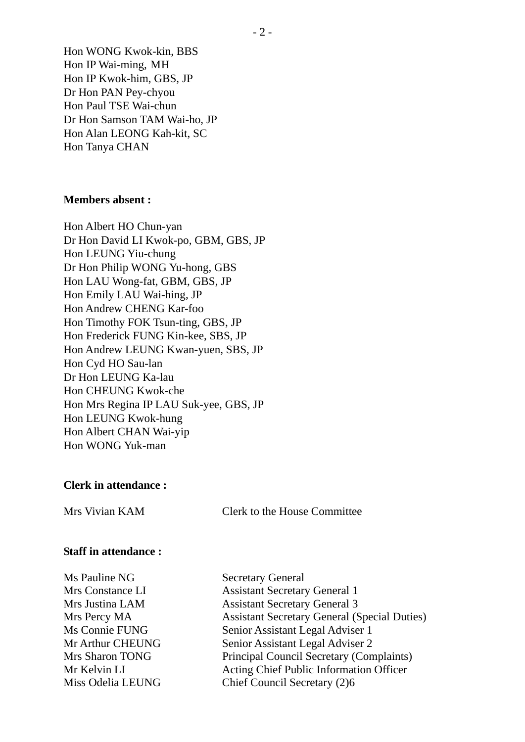Hon WONG Kwok-kin, BBS Hon IP Wai-ming, MH Hon IP Kwok-him, GBS, JP Dr Hon PAN Pey-chyou Hon Paul TSE Wai-chun Dr Hon Samson TAM Wai-ho, JP Hon Alan LEONG Kah-kit, SC Hon Tanya CHAN

### **Members absent :**

Hon Albert HO Chun-yan Dr Hon David LI Kwok-po, GBM, GBS, JP Hon LEUNG Yiu-chung Dr Hon Philip WONG Yu-hong, GBS Hon LAU Wong-fat, GBM, GBS, JP Hon Emily LAU Wai-hing, JP Hon Andrew CHENG Kar-foo Hon Timothy FOK Tsun-ting, GBS, JP Hon Frederick FUNG Kin-kee, SBS, JP Hon Andrew LEUNG Kwan-yuen, SBS, JP Hon Cyd HO Sau-lan Dr Hon LEUNG Ka-lau Hon CHEUNG Kwok-che Hon Mrs Regina IP LAU Suk-yee, GBS, JP Hon LEUNG Kwok-hung Hon Albert CHAN Wai-yip Hon WONG Yuk-man

### **Clerk in attendance :**

Mrs Vivian KAM Clerk to the House Committee

### **Staff in attendance :**

Ms Pauline NG Secretary General

Mrs Constance LI Assistant Secretary General 1 Mrs Justina LAM Assistant Secretary General 3 Mrs Percy MA Assistant Secretary General (Special Duties) Ms Connie FUNG Senior Assistant Legal Adviser 1 Mr Arthur CHEUNG Senior Assistant Legal Adviser 2 Mrs Sharon TONG Principal Council Secretary (Complaints) Mr Kelvin LI Acting Chief Public Information Officer Miss Odelia LEUNG Chief Council Secretary (2)6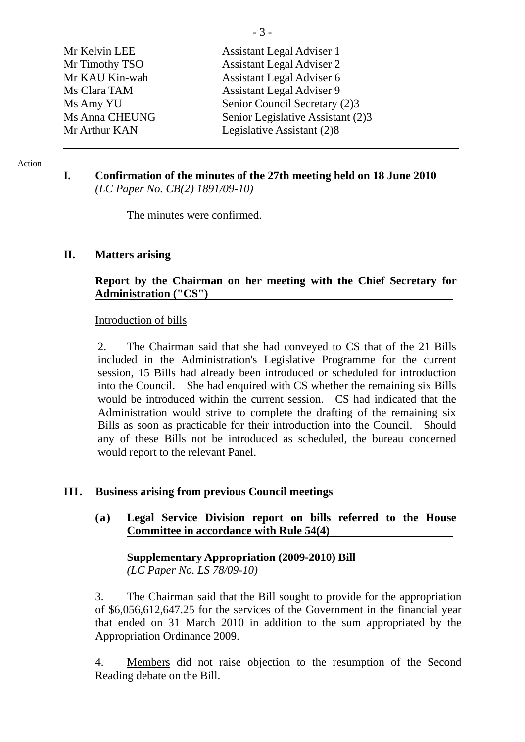| Mr Kelvin LEE  | Assistant Legal Adviser 1         |
|----------------|-----------------------------------|
| Mr Timothy TSO | <b>Assistant Legal Adviser 2</b>  |
| Mr KAU Kin-wah | Assistant Legal Adviser 6         |
| Ms Clara TAM   | <b>Assistant Legal Adviser 9</b>  |
| Ms Amy YU      | Senior Council Secretary (2)3     |
| Ms Anna CHEUNG | Senior Legislative Assistant (2)3 |
| Mr Arthur KAN  | Legislative Assistant (2)8        |
|                |                                   |

Action

### **I. Confirmation of the minutes of the 27th meeting held on 18 June 2010**  *(LC Paper No. CB(2) 1891/09-10)*

The minutes were confirmed.

### **II. Matters arising**

## **Report by the Chairman on her meeting with the Chief Secretary for Administration ("CS")**

### Introduction of bills

2. The Chairman said that she had conveyed to CS that of the 21 Bills included in the Administration's Legislative Programme for the current session, 15 Bills had already been introduced or scheduled for introduction into the Council. She had enquired with CS whether the remaining six Bills would be introduced within the current session. CS had indicated that the Administration would strive to complete the drafting of the remaining six Bills as soon as practicable for their introduction into the Council. Should any of these Bills not be introduced as scheduled, the bureau concerned would report to the relevant Panel.

### **III. Business arising from previous Council meetings**

**(a) Legal Service Division report on bills referred to the House Committee in accordance with Rule 54(4)** 

 **Supplementary Appropriation (2009-2010) Bill** *(LC Paper No. LS 78/09-10)* 

3. The Chairman said that the Bill sought to provide for the appropriation of \$6,056,612,647.25 for the services of the Government in the financial year that ended on 31 March 2010 in addition to the sum appropriated by the Appropriation Ordinance 2009.

4. Members did not raise objection to the resumption of the Second Reading debate on the Bill.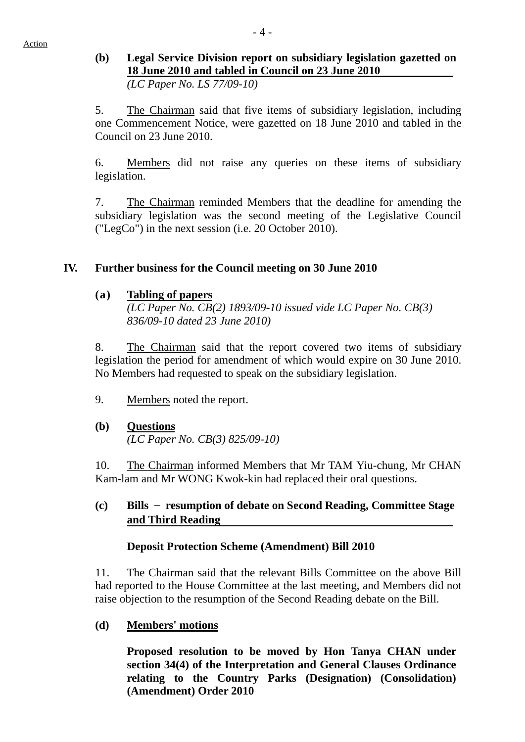## **(b) Legal Service Division report on subsidiary legislation gazetted on 18 June 2010 and tabled in Council on 23 June 2010**   *(LC Paper No. LS 77/09-10)*

5. The Chairman said that five items of subsidiary legislation, including one Commencement Notice, were gazetted on 18 June 2010 and tabled in the Council on 23 June 2010.

6. Members did not raise any queries on these items of subsidiary legislation.

7. The Chairman reminded Members that the deadline for amending the subsidiary legislation was the second meeting of the Legislative Council ("LegCo") in the next session (i.e. 20 October 2010).

## **IV. Further business for the Council meeting on 30 June 2010**

## **(a) Tabling of papers**

*(LC Paper No. CB(2) 1893/09-10 issued vide LC Paper No. CB(3) 836/09-10 dated 23 June 2010)* 

8. The Chairman said that the report covered two items of subsidiary legislation the period for amendment of which would expire on 30 June 2010. No Members had requested to speak on the subsidiary legislation.

9. Members noted the report.

# **(b) Questions**

*(LC Paper No. CB(3) 825/09-10)* 

10. The Chairman informed Members that Mr TAM Yiu-chung, Mr CHAN Kam-lam and Mr WONG Kwok-kin had replaced their oral questions.

## **(c) Bills** – **resumption of debate on Second Reading, Committee Stage and Third Reading**

## **Deposit Protection Scheme (Amendment) Bill 2010**

11. The Chairman said that the relevant Bills Committee on the above Bill had reported to the House Committee at the last meeting, and Members did not raise objection to the resumption of the Second Reading debate on the Bill.

## **(d) Members' motions**

**Proposed resolution to be moved by Hon Tanya CHAN under section 34(4) of the Interpretation and General Clauses Ordinance relating to the Country Parks (Designation) (Consolidation) (Amendment) Order 2010**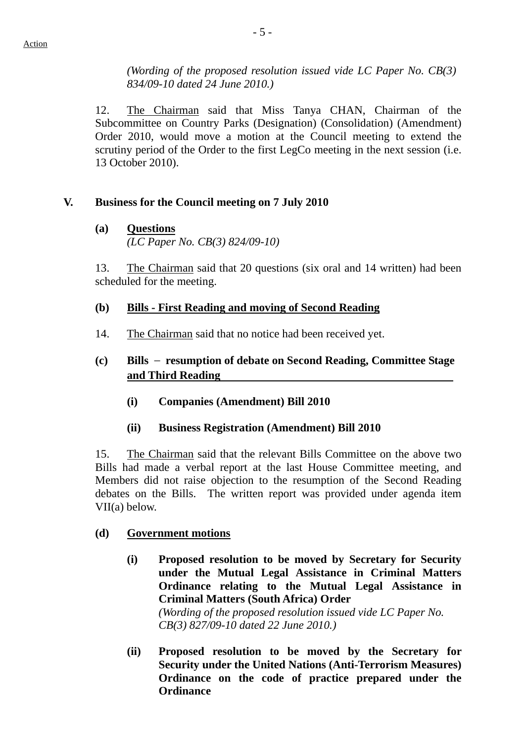*(Wording of the proposed resolution issued vide LC Paper No. CB(3) 834/09-10 dated 24 June 2010.)* 

12. The Chairman said that Miss Tanya CHAN, Chairman of the Subcommittee on Country Parks (Designation) (Consolidation) (Amendment) Order 2010, would move a motion at the Council meeting to extend the scrutiny period of the Order to the first LegCo meeting in the next session (i.e. 13 October 2010).

## **V. Business for the Council meeting on 7 July 2010**

**(a) Questions** *(LC Paper No. CB(3) 824/09-10)* 

13. The Chairman said that 20 questions (six oral and 14 written) had been scheduled for the meeting.

- **(b) Bills First Reading and moving of Second Reading**
- 14. The Chairman said that no notice had been received yet.

## **(c) Bills** – **resumption of debate on Second Reading, Committee Stage and Third Reading**

- **(i) Companies (Amendment) Bill 2010**
- **(ii) Business Registration (Amendment) Bill 2010**

15. The Chairman said that the relevant Bills Committee on the above two Bills had made a verbal report at the last House Committee meeting, and Members did not raise objection to the resumption of the Second Reading debates on the Bills. The written report was provided under agenda item VII(a) below.

## **(d) Government motions**

- **(i) Proposed resolution to be moved by Secretary for Security under the Mutual Legal Assistance in Criminal Matters Ordinance relating to the Mutual Legal Assistance in Criminal Matters (South Africa) Order**  *(Wording of the proposed resolution issued vide LC Paper No. CB(3) 827/09-10 dated 22 June 2010.)*
- **(ii) Proposed resolution to be moved by the Secretary for Security under the United Nations (Anti-Terrorism Measures) Ordinance on the code of practice prepared under the Ordinance**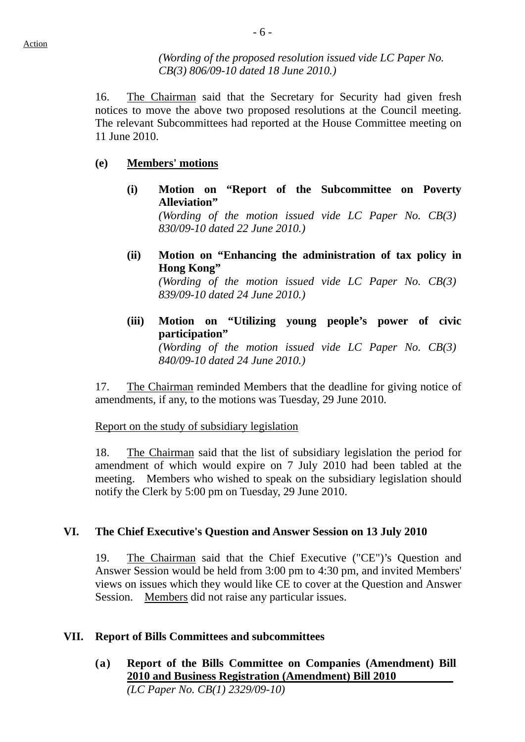*(Wording of the proposed resolution issued vide LC Paper No. CB(3) 806/09-10 dated 18 June 2010.)* 

16. The Chairman said that the Secretary for Security had given fresh notices to move the above two proposed resolutions at the Council meeting. The relevant Subcommittees had reported at the House Committee meeting on 11 June 2010.

### **(e) Members' motions**

**(i) Motion on "Report of the Subcommittee on Poverty Alleviation"** 

*(Wording of the motion issued vide LC Paper No. CB(3) 830/09-10 dated 22 June 2010.)* 

**(ii) Motion on "Enhancing the administration of tax policy in Hong Kong"** 

*(Wording of the motion issued vide LC Paper No. CB(3) 839/09-10 dated 24 June 2010.)* 

**(iii) Motion on "Utilizing young people's power of civic participation"**  *(Wording of the motion issued vide LC Paper No. CB(3) 840/09-10 dated 24 June 2010.)* 

17. The Chairman reminded Members that the deadline for giving notice of amendments, if any, to the motions was Tuesday, 29 June 2010.

Report on the study of subsidiary legislation

18. The Chairman said that the list of subsidiary legislation the period for amendment of which would expire on 7 July 2010 had been tabled at the meeting. Members who wished to speak on the subsidiary legislation should notify the Clerk by 5:00 pm on Tuesday, 29 June 2010.

### **VI. The Chief Executive's Question and Answer Session on 13 July 2010**

19. The Chairman said that the Chief Executive ("CE")'s Question and Answer Session would be held from 3:00 pm to 4:30 pm, and invited Members' views on issues which they would like CE to cover at the Question and Answer Session. Members did not raise any particular issues.

### **VII. Report of Bills Committees and subcommittees**

**(a) Report of the Bills Committee on Companies (Amendment) Bill 2010 and Business Registration (Amendment) Bill 2010**  *(LC Paper No. CB(1) 2329/09-10)*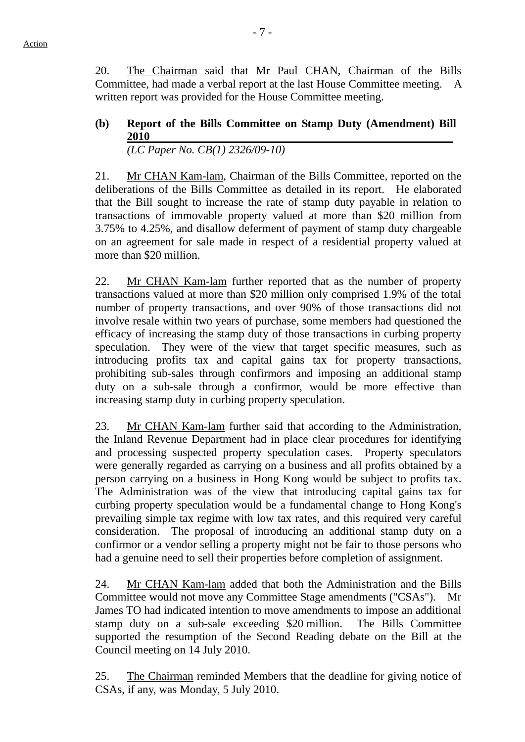20. The Chairman said that Mr Paul CHAN, Chairman of the Bills Committee, had made a verbal report at the last House Committee meeting. A written report was provided for the House Committee meeting.

## **(b) Report of the Bills Committee on Stamp Duty (Amendment) Bill 2010**  *(LC Paper No. CB(1) 2326/09-10)*

21. Mr CHAN Kam-lam, Chairman of the Bills Committee, reported on the deliberations of the Bills Committee as detailed in its report. He elaborated that the Bill sought to increase the rate of stamp duty payable in relation to transactions of immovable property valued at more than \$20 million from 3.75% to 4.25%, and disallow deferment of payment of stamp duty chargeable on an agreement for sale made in respect of a residential property valued at more than \$20 million.

22. Mr CHAN Kam-lam further reported that as the number of property transactions valued at more than \$20 million only comprised 1.9% of the total number of property transactions, and over 90% of those transactions did not involve resale within two years of purchase, some members had questioned the efficacy of increasing the stamp duty of those transactions in curbing property speculation. They were of the view that target specific measures, such as introducing profits tax and capital gains tax for property transactions, prohibiting sub-sales through confirmors and imposing an additional stamp duty on a sub-sale through a confirmor, would be more effective than increasing stamp duty in curbing property speculation.

23. Mr CHAN Kam-lam further said that according to the Administration, the Inland Revenue Department had in place clear procedures for identifying and processing suspected property speculation cases. Property speculators were generally regarded as carrying on a business and all profits obtained by a person carrying on a business in Hong Kong would be subject to profits tax. The Administration was of the view that introducing capital gains tax for curbing property speculation would be a fundamental change to Hong Kong's prevailing simple tax regime with low tax rates, and this required very careful consideration. The proposal of introducing an additional stamp duty on a confirmor or a vendor selling a property might not be fair to those persons who had a genuine need to sell their properties before completion of assignment.

24. Mr CHAN Kam-lam added that both the Administration and the Bills Committee would not move any Committee Stage amendments ("CSAs"). Mr James TO had indicated intention to move amendments to impose an additional stamp duty on a sub-sale exceeding \$20 million. The Bills Committee supported the resumption of the Second Reading debate on the Bill at the Council meeting on 14 July 2010.

25. The Chairman reminded Members that the deadline for giving notice of CSAs, if any, was Monday, 5 July 2010.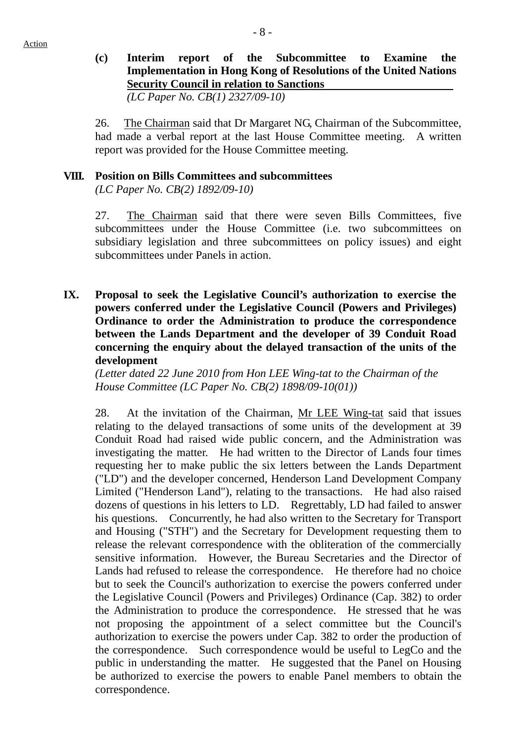# **(c) Interim report of the Subcommittee to Examine the Implementation in Hong Kong of Resolutions of the United Nations Security Council in relation to Sanctions**

*(LC Paper No. CB(1) 2327/09-10)* 

26. The Chairman said that Dr Margaret NG, Chairman of the Subcommittee, had made a verbal report at the last House Committee meeting. A written report was provided for the House Committee meeting.

## **VIII. Position on Bills Committees and subcommittees**

*(LC Paper No. CB(2) 1892/09-10)* 

27. The Chairman said that there were seven Bills Committees, five subcommittees under the House Committee (i.e. two subcommittees on subsidiary legislation and three subcommittees on policy issues) and eight subcommittees under Panels in action.

**IX. Proposal to seek the Legislative Council's authorization to exercise the powers conferred under the Legislative Council (Powers and Privileges) Ordinance to order the Administration to produce the correspondence between the Lands Department and the developer of 39 Conduit Road concerning the enquiry about the delayed transaction of the units of the development** 

*(Letter dated 22 June 2010 from Hon LEE Wing-tat to the Chairman of the House Committee (LC Paper No. CB(2) 1898/09-10(01))* 

28. At the invitation of the Chairman, Mr LEE Wing-tat said that issues relating to the delayed transactions of some units of the development at 39 Conduit Road had raised wide public concern, and the Administration was investigating the matter. He had written to the Director of Lands four times requesting her to make public the six letters between the Lands Department ("LD") and the developer concerned, Henderson Land Development Company Limited ("Henderson Land"), relating to the transactions. He had also raised dozens of questions in his letters to LD. Regrettably, LD had failed to answer his questions. Concurrently, he had also written to the Secretary for Transport and Housing ("STH") and the Secretary for Development requesting them to release the relevant correspondence with the obliteration of the commercially sensitive information. However, the Bureau Secretaries and the Director of Lands had refused to release the correspondence. He therefore had no choice but to seek the Council's authorization to exercise the powers conferred under the Legislative Council (Powers and Privileges) Ordinance (Cap. 382) to order the Administration to produce the correspondence. He stressed that he was not proposing the appointment of a select committee but the Council's authorization to exercise the powers under Cap. 382 to order the production of the correspondence. Such correspondence would be useful to LegCo and the public in understanding the matter. He suggested that the Panel on Housing be authorized to exercise the powers to enable Panel members to obtain the correspondence.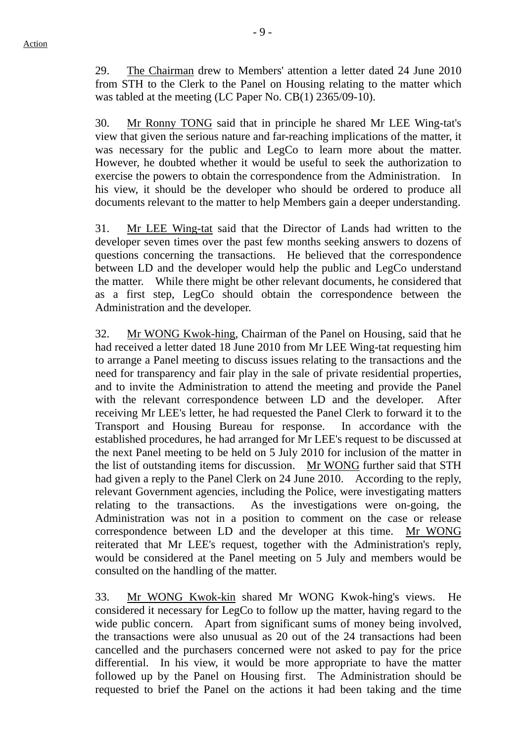29. The Chairman drew to Members' attention a letter dated 24 June 2010 from STH to the Clerk to the Panel on Housing relating to the matter which was tabled at the meeting (LC Paper No. CB(1) 2365/09-10).

30. Mr Ronny TONG said that in principle he shared Mr LEE Wing-tat's view that given the serious nature and far-reaching implications of the matter, it was necessary for the public and LegCo to learn more about the matter. However, he doubted whether it would be useful to seek the authorization to exercise the powers to obtain the correspondence from the Administration. In his view, it should be the developer who should be ordered to produce all documents relevant to the matter to help Members gain a deeper understanding.

31. Mr LEE Wing-tat said that the Director of Lands had written to the developer seven times over the past few months seeking answers to dozens of questions concerning the transactions. He believed that the correspondence between LD and the developer would help the public and LegCo understand the matter. While there might be other relevant documents, he considered that as a first step, LegCo should obtain the correspondence between the Administration and the developer.

32. Mr WONG Kwok-hing, Chairman of the Panel on Housing, said that he had received a letter dated 18 June 2010 from Mr LEE Wing-tat requesting him to arrange a Panel meeting to discuss issues relating to the transactions and the need for transparency and fair play in the sale of private residential properties, and to invite the Administration to attend the meeting and provide the Panel with the relevant correspondence between LD and the developer. After receiving Mr LEE's letter, he had requested the Panel Clerk to forward it to the Transport and Housing Bureau for response. In accordance with the established procedures, he had arranged for Mr LEE's request to be discussed at the next Panel meeting to be held on 5 July 2010 for inclusion of the matter in the list of outstanding items for discussion. Mr WONG further said that STH had given a reply to the Panel Clerk on 24 June 2010. According to the reply, relevant Government agencies, including the Police, were investigating matters relating to the transactions. As the investigations were on-going, the Administration was not in a position to comment on the case or release correspondence between LD and the developer at this time. Mr WONG reiterated that Mr LEE's request, together with the Administration's reply, would be considered at the Panel meeting on 5 July and members would be consulted on the handling of the matter.

33. Mr WONG Kwok-kin shared Mr WONG Kwok-hing's views. He considered it necessary for LegCo to follow up the matter, having regard to the wide public concern. Apart from significant sums of money being involved, the transactions were also unusual as 20 out of the 24 transactions had been cancelled and the purchasers concerned were not asked to pay for the price differential. In his view, it would be more appropriate to have the matter followed up by the Panel on Housing first. The Administration should be requested to brief the Panel on the actions it had been taking and the time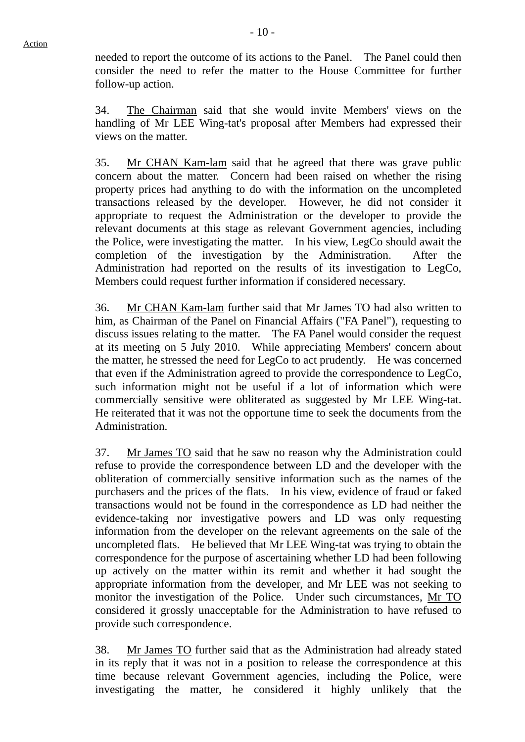needed to report the outcome of its actions to the Panel. The Panel could then consider the need to refer the matter to the House Committee for further follow-up action.

34. The Chairman said that she would invite Members' views on the handling of Mr LEE Wing-tat's proposal after Members had expressed their views on the matter.

35. Mr CHAN Kam-lam said that he agreed that there was grave public concern about the matter. Concern had been raised on whether the rising property prices had anything to do with the information on the uncompleted transactions released by the developer. However, he did not consider it appropriate to request the Administration or the developer to provide the relevant documents at this stage as relevant Government agencies, including the Police, were investigating the matter. In his view, LegCo should await the completion of the investigation by the Administration. After the Administration had reported on the results of its investigation to LegCo, Members could request further information if considered necessary.

36. Mr CHAN Kam-lam further said that Mr James TO had also written to him, as Chairman of the Panel on Financial Affairs ("FA Panel"), requesting to discuss issues relating to the matter. The FA Panel would consider the request at its meeting on 5 July 2010. While appreciating Members' concern about the matter, he stressed the need for LegCo to act prudently. He was concerned that even if the Administration agreed to provide the correspondence to LegCo, such information might not be useful if a lot of information which were commercially sensitive were obliterated as suggested by Mr LEE Wing-tat. He reiterated that it was not the opportune time to seek the documents from the Administration.

37. Mr James TO said that he saw no reason why the Administration could refuse to provide the correspondence between LD and the developer with the obliteration of commercially sensitive information such as the names of the purchasers and the prices of the flats. In his view, evidence of fraud or faked transactions would not be found in the correspondence as LD had neither the evidence-taking nor investigative powers and LD was only requesting information from the developer on the relevant agreements on the sale of the uncompleted flats. He believed that Mr LEE Wing-tat was trying to obtain the correspondence for the purpose of ascertaining whether LD had been following up actively on the matter within its remit and whether it had sought the appropriate information from the developer, and Mr LEE was not seeking to monitor the investigation of the Police. Under such circumstances, Mr TO considered it grossly unacceptable for the Administration to have refused to provide such correspondence.

38. Mr James TO further said that as the Administration had already stated in its reply that it was not in a position to release the correspondence at this time because relevant Government agencies, including the Police, were investigating the matter, he considered it highly unlikely that the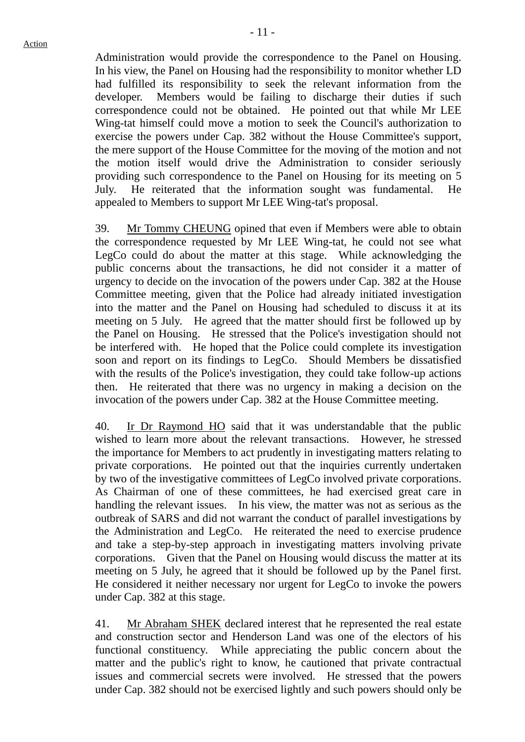Administration would provide the correspondence to the Panel on Housing. In his view, the Panel on Housing had the responsibility to monitor whether LD had fulfilled its responsibility to seek the relevant information from the developer. Members would be failing to discharge their duties if such correspondence could not be obtained. He pointed out that while Mr LEE Wing-tat himself could move a motion to seek the Council's authorization to exercise the powers under Cap. 382 without the House Committee's support, the mere support of the House Committee for the moving of the motion and not the motion itself would drive the Administration to consider seriously providing such correspondence to the Panel on Housing for its meeting on 5 July. He reiterated that the information sought was fundamental. He appealed to Members to support Mr LEE Wing-tat's proposal.

39. Mr Tommy CHEUNG opined that even if Members were able to obtain the correspondence requested by Mr LEE Wing-tat, he could not see what LegCo could do about the matter at this stage. While acknowledging the public concerns about the transactions, he did not consider it a matter of urgency to decide on the invocation of the powers under Cap. 382 at the House Committee meeting, given that the Police had already initiated investigation into the matter and the Panel on Housing had scheduled to discuss it at its meeting on 5 July. He agreed that the matter should first be followed up by the Panel on Housing. He stressed that the Police's investigation should not be interfered with. He hoped that the Police could complete its investigation soon and report on its findings to LegCo. Should Members be dissatisfied with the results of the Police's investigation, they could take follow-up actions then. He reiterated that there was no urgency in making a decision on the invocation of the powers under Cap. 382 at the House Committee meeting.

40. Ir Dr Raymond HO said that it was understandable that the public wished to learn more about the relevant transactions. However, he stressed the importance for Members to act prudently in investigating matters relating to private corporations. He pointed out that the inquiries currently undertaken by two of the investigative committees of LegCo involved private corporations. As Chairman of one of these committees, he had exercised great care in handling the relevant issues. In his view, the matter was not as serious as the outbreak of SARS and did not warrant the conduct of parallel investigations by the Administration and LegCo. He reiterated the need to exercise prudence and take a step-by-step approach in investigating matters involving private corporations. Given that the Panel on Housing would discuss the matter at its meeting on 5 July, he agreed that it should be followed up by the Panel first. He considered it neither necessary nor urgent for LegCo to invoke the powers under Cap. 382 at this stage.

41. Mr Abraham SHEK declared interest that he represented the real estate and construction sector and Henderson Land was one of the electors of his functional constituency. While appreciating the public concern about the matter and the public's right to know, he cautioned that private contractual issues and commercial secrets were involved. He stressed that the powers under Cap. 382 should not be exercised lightly and such powers should only be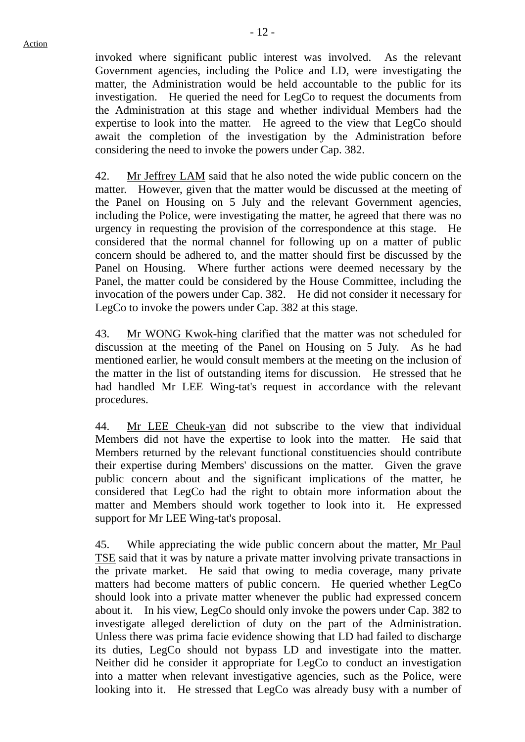invoked where significant public interest was involved. As the relevant Government agencies, including the Police and LD, were investigating the matter, the Administration would be held accountable to the public for its investigation. He queried the need for LegCo to request the documents from the Administration at this stage and whether individual Members had the expertise to look into the matter. He agreed to the view that LegCo should await the completion of the investigation by the Administration before considering the need to invoke the powers under Cap. 382.

42. Mr Jeffrey LAM said that he also noted the wide public concern on the matter. However, given that the matter would be discussed at the meeting of the Panel on Housing on 5 July and the relevant Government agencies, including the Police, were investigating the matter, he agreed that there was no urgency in requesting the provision of the correspondence at this stage. He considered that the normal channel for following up on a matter of public concern should be adhered to, and the matter should first be discussed by the Panel on Housing. Where further actions were deemed necessary by the Panel, the matter could be considered by the House Committee, including the invocation of the powers under Cap. 382. He did not consider it necessary for LegCo to invoke the powers under Cap. 382 at this stage.

43. Mr WONG Kwok-hing clarified that the matter was not scheduled for discussion at the meeting of the Panel on Housing on 5 July. As he had mentioned earlier, he would consult members at the meeting on the inclusion of the matter in the list of outstanding items for discussion. He stressed that he had handled Mr LEE Wing-tat's request in accordance with the relevant procedures.

44. Mr LEE Cheuk-yan did not subscribe to the view that individual Members did not have the expertise to look into the matter. He said that Members returned by the relevant functional constituencies should contribute their expertise during Members' discussions on the matter. Given the grave public concern about and the significant implications of the matter, he considered that LegCo had the right to obtain more information about the matter and Members should work together to look into it. He expressed support for Mr LEE Wing-tat's proposal.

45. While appreciating the wide public concern about the matter, Mr Paul TSE said that it was by nature a private matter involving private transactions in the private market. He said that owing to media coverage, many private matters had become matters of public concern. He queried whether LegCo should look into a private matter whenever the public had expressed concern about it. In his view, LegCo should only invoke the powers under Cap. 382 to investigate alleged dereliction of duty on the part of the Administration. Unless there was prima facie evidence showing that LD had failed to discharge its duties, LegCo should not bypass LD and investigate into the matter. Neither did he consider it appropriate for LegCo to conduct an investigation into a matter when relevant investigative agencies, such as the Police, were looking into it. He stressed that LegCo was already busy with a number of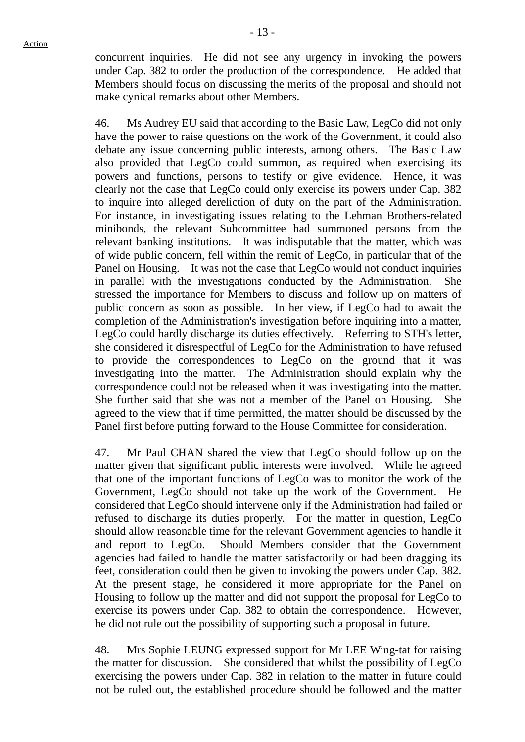concurrent inquiries. He did not see any urgency in invoking the powers under Cap. 382 to order the production of the correspondence. He added that Members should focus on discussing the merits of the proposal and should not make cynical remarks about other Members.

46. Ms Audrey EU said that according to the Basic Law, LegCo did not only have the power to raise questions on the work of the Government, it could also debate any issue concerning public interests, among others. The Basic Law also provided that LegCo could summon, as required when exercising its powers and functions, persons to testify or give evidence. Hence, it was clearly not the case that LegCo could only exercise its powers under Cap. 382 to inquire into alleged dereliction of duty on the part of the Administration. For instance, in investigating issues relating to the Lehman Brothers-related minibonds, the relevant Subcommittee had summoned persons from the relevant banking institutions. It was indisputable that the matter, which was of wide public concern, fell within the remit of LegCo, in particular that of the Panel on Housing. It was not the case that LegCo would not conduct inquiries in parallel with the investigations conducted by the Administration. She stressed the importance for Members to discuss and follow up on matters of public concern as soon as possible. In her view, if LegCo had to await the completion of the Administration's investigation before inquiring into a matter, LegCo could hardly discharge its duties effectively. Referring to STH's letter, she considered it disrespectful of LegCo for the Administration to have refused to provide the correspondences to LegCo on the ground that it was investigating into the matter. The Administration should explain why the correspondence could not be released when it was investigating into the matter. She further said that she was not a member of the Panel on Housing. She agreed to the view that if time permitted, the matter should be discussed by the Panel first before putting forward to the House Committee for consideration.

47. Mr Paul CHAN shared the view that LegCo should follow up on the matter given that significant public interests were involved. While he agreed that one of the important functions of LegCo was to monitor the work of the Government, LegCo should not take up the work of the Government. He considered that LegCo should intervene only if the Administration had failed or refused to discharge its duties properly. For the matter in question, LegCo should allow reasonable time for the relevant Government agencies to handle it and report to LegCo. Should Members consider that the Government agencies had failed to handle the matter satisfactorily or had been dragging its feet, consideration could then be given to invoking the powers under Cap. 382. At the present stage, he considered it more appropriate for the Panel on Housing to follow up the matter and did not support the proposal for LegCo to exercise its powers under Cap. 382 to obtain the correspondence. However, he did not rule out the possibility of supporting such a proposal in future.

48. Mrs Sophie LEUNG expressed support for Mr LEE Wing-tat for raising the matter for discussion. She considered that whilst the possibility of LegCo exercising the powers under Cap. 382 in relation to the matter in future could not be ruled out, the established procedure should be followed and the matter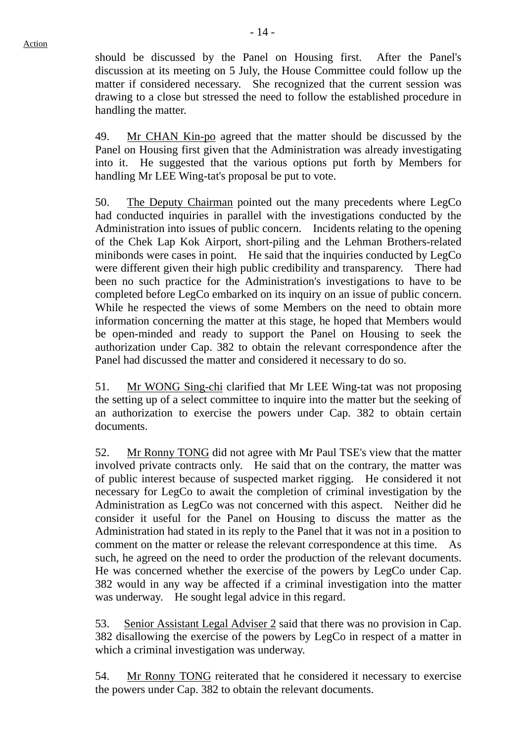should be discussed by the Panel on Housing first. After the Panel's discussion at its meeting on 5 July, the House Committee could follow up the matter if considered necessary. She recognized that the current session was drawing to a close but stressed the need to follow the established procedure in handling the matter.

49. Mr CHAN Kin-po agreed that the matter should be discussed by the Panel on Housing first given that the Administration was already investigating into it. He suggested that the various options put forth by Members for handling Mr LEE Wing-tat's proposal be put to vote.

50. The Deputy Chairman pointed out the many precedents where LegCo had conducted inquiries in parallel with the investigations conducted by the Administration into issues of public concern. Incidents relating to the opening of the Chek Lap Kok Airport, short-piling and the Lehman Brothers-related minibonds were cases in point. He said that the inquiries conducted by LegCo were different given their high public credibility and transparency. There had been no such practice for the Administration's investigations to have to be completed before LegCo embarked on its inquiry on an issue of public concern. While he respected the views of some Members on the need to obtain more information concerning the matter at this stage, he hoped that Members would be open-minded and ready to support the Panel on Housing to seek the authorization under Cap. 382 to obtain the relevant correspondence after the Panel had discussed the matter and considered it necessary to do so.

51. Mr WONG Sing-chi clarified that Mr LEE Wing-tat was not proposing the setting up of a select committee to inquire into the matter but the seeking of an authorization to exercise the powers under Cap. 382 to obtain certain documents.

52. Mr Ronny TONG did not agree with Mr Paul TSE's view that the matter involved private contracts only. He said that on the contrary, the matter was of public interest because of suspected market rigging. He considered it not necessary for LegCo to await the completion of criminal investigation by the Administration as LegCo was not concerned with this aspect. Neither did he consider it useful for the Panel on Housing to discuss the matter as the Administration had stated in its reply to the Panel that it was not in a position to comment on the matter or release the relevant correspondence at this time. As such, he agreed on the need to order the production of the relevant documents. He was concerned whether the exercise of the powers by LegCo under Cap. 382 would in any way be affected if a criminal investigation into the matter was underway. He sought legal advice in this regard.

53. Senior Assistant Legal Adviser 2 said that there was no provision in Cap. 382 disallowing the exercise of the powers by LegCo in respect of a matter in which a criminal investigation was underway.

54. Mr Ronny TONG reiterated that he considered it necessary to exercise the powers under Cap. 382 to obtain the relevant documents.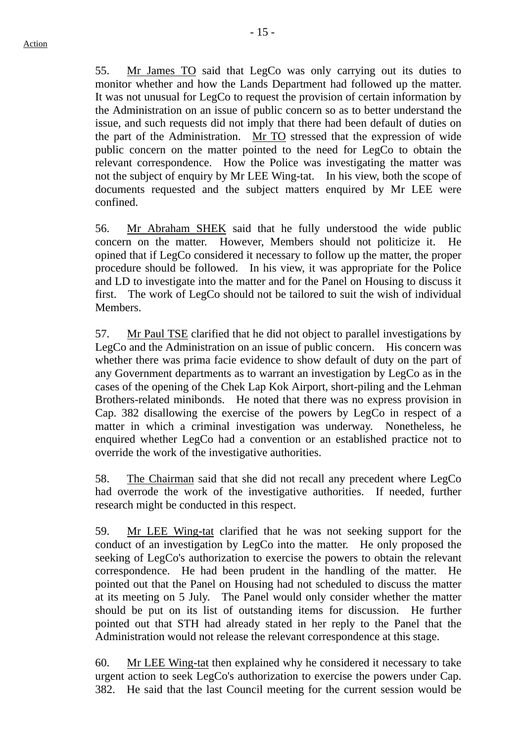55. Mr James TO said that LegCo was only carrying out its duties to monitor whether and how the Lands Department had followed up the matter. It was not unusual for LegCo to request the provision of certain information by the Administration on an issue of public concern so as to better understand the issue, and such requests did not imply that there had been default of duties on the part of the Administration. Mr TO stressed that the expression of wide public concern on the matter pointed to the need for LegCo to obtain the relevant correspondence. How the Police was investigating the matter was not the subject of enquiry by Mr LEE Wing-tat. In his view, both the scope of documents requested and the subject matters enquired by Mr LEE were confined.

56. Mr Abraham SHEK said that he fully understood the wide public concern on the matter. However, Members should not politicize it. He opined that if LegCo considered it necessary to follow up the matter, the proper procedure should be followed. In his view, it was appropriate for the Police and LD to investigate into the matter and for the Panel on Housing to discuss it first. The work of LegCo should not be tailored to suit the wish of individual **Members** 

57. Mr Paul TSE clarified that he did not object to parallel investigations by LegCo and the Administration on an issue of public concern. His concern was whether there was prima facie evidence to show default of duty on the part of any Government departments as to warrant an investigation by LegCo as in the cases of the opening of the Chek Lap Kok Airport, short-piling and the Lehman Brothers-related minibonds. He noted that there was no express provision in Cap. 382 disallowing the exercise of the powers by LegCo in respect of a matter in which a criminal investigation was underway. Nonetheless, he enquired whether LegCo had a convention or an established practice not to override the work of the investigative authorities.

58. The Chairman said that she did not recall any precedent where LegCo had overrode the work of the investigative authorities. If needed, further research might be conducted in this respect.

59. Mr LEE Wing-tat clarified that he was not seeking support for the conduct of an investigation by LegCo into the matter. He only proposed the seeking of LegCo's authorization to exercise the powers to obtain the relevant correspondence. He had been prudent in the handling of the matter. He pointed out that the Panel on Housing had not scheduled to discuss the matter at its meeting on 5 July. The Panel would only consider whether the matter should be put on its list of outstanding items for discussion. He further pointed out that STH had already stated in her reply to the Panel that the Administration would not release the relevant correspondence at this stage.

60. Mr LEE Wing-tat then explained why he considered it necessary to take urgent action to seek LegCo's authorization to exercise the powers under Cap. 382. He said that the last Council meeting for the current session would be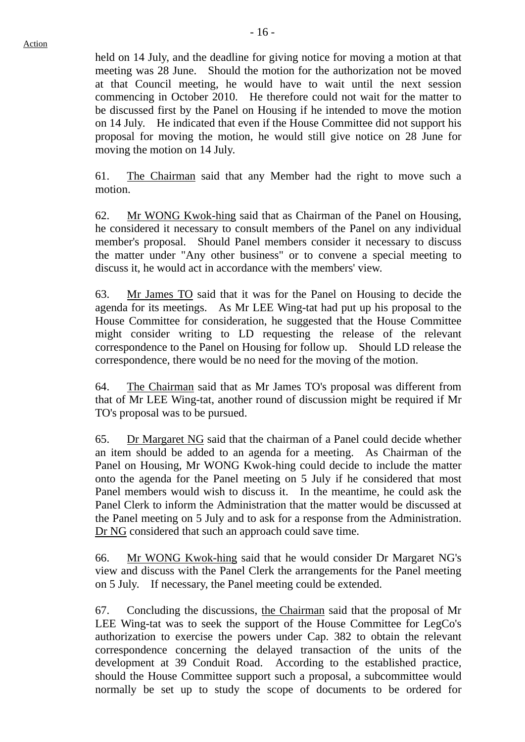held on 14 July, and the deadline for giving notice for moving a motion at that meeting was 28 June. Should the motion for the authorization not be moved at that Council meeting, he would have to wait until the next session commencing in October 2010. He therefore could not wait for the matter to be discussed first by the Panel on Housing if he intended to move the motion on 14 July. He indicated that even if the House Committee did not support his proposal for moving the motion, he would still give notice on 28 June for moving the motion on 14 July.

61. The Chairman said that any Member had the right to move such a motion.

62. Mr WONG Kwok-hing said that as Chairman of the Panel on Housing, he considered it necessary to consult members of the Panel on any individual member's proposal. Should Panel members consider it necessary to discuss the matter under "Any other business" or to convene a special meeting to discuss it, he would act in accordance with the members' view.

63. Mr James TO said that it was for the Panel on Housing to decide the agenda for its meetings. As Mr LEE Wing-tat had put up his proposal to the House Committee for consideration, he suggested that the House Committee might consider writing to LD requesting the release of the relevant correspondence to the Panel on Housing for follow up. Should LD release the correspondence, there would be no need for the moving of the motion.

64. The Chairman said that as Mr James TO's proposal was different from that of Mr LEE Wing-tat, another round of discussion might be required if Mr TO's proposal was to be pursued.

65. Dr Margaret NG said that the chairman of a Panel could decide whether an item should be added to an agenda for a meeting. As Chairman of the Panel on Housing, Mr WONG Kwok-hing could decide to include the matter onto the agenda for the Panel meeting on 5 July if he considered that most Panel members would wish to discuss it. In the meantime, he could ask the Panel Clerk to inform the Administration that the matter would be discussed at the Panel meeting on 5 July and to ask for a response from the Administration. Dr NG considered that such an approach could save time.

66. Mr WONG Kwok-hing said that he would consider Dr Margaret NG's view and discuss with the Panel Clerk the arrangements for the Panel meeting on 5 July. If necessary, the Panel meeting could be extended.

67. Concluding the discussions, the Chairman said that the proposal of Mr LEE Wing-tat was to seek the support of the House Committee for LegCo's authorization to exercise the powers under Cap. 382 to obtain the relevant correspondence concerning the delayed transaction of the units of the development at 39 Conduit Road. According to the established practice, should the House Committee support such a proposal, a subcommittee would normally be set up to study the scope of documents to be ordered for